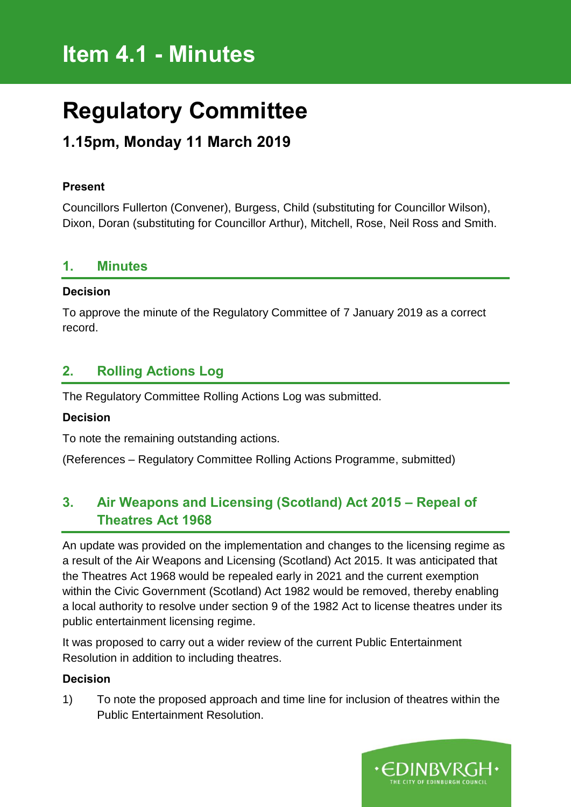# **Item 4.1 - Minutes**

# **Regulatory Committee**

# **1.15pm, Monday 11 March 2019**

#### **Present**

Councillors Fullerton (Convener), Burgess, Child (substituting for Councillor Wilson), Dixon, Doran (substituting for Councillor Arthur), Mitchell, Rose, Neil Ross and Smith.

#### **1. Minutes**

#### **Decision**

To approve the minute of the Regulatory Committee of 7 January 2019 as a correct record.

### **2. Rolling Actions Log**

The Regulatory Committee Rolling Actions Log was submitted.

#### **Decision**

To note the remaining outstanding actions.

(References – Regulatory Committee Rolling Actions Programme, submitted)

## **3. Air Weapons and Licensing (Scotland) Act 2015 – Repeal of Theatres Act 1968**

An update was provided on the implementation and changes to the licensing regime as a result of the Air Weapons and Licensing (Scotland) Act 2015. It was anticipated that the Theatres Act 1968 would be repealed early in 2021 and the current exemption within the Civic Government (Scotland) Act 1982 would be removed, thereby enabling a local authority to resolve under section 9 of the 1982 Act to license theatres under its public entertainment licensing regime.

It was proposed to carry out a wider review of the current Public Entertainment Resolution in addition to including theatres.

#### **Decision**

1) To note the proposed approach and time line for inclusion of theatres within the Public Entertainment Resolution.